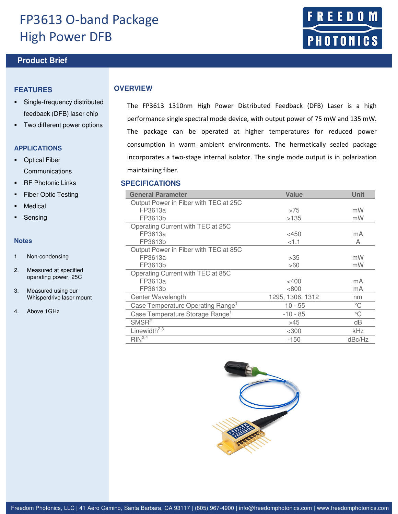# FP3613 O-band Package High Power DFB

# **Product Brief <b>Product** Brief **Arts**

### **FEATURES**

- Single-frequency distributed feedback (DFB) laser chip
- Two different power options

### **APPLICATIONS**

- **•** Optical Fiber Communications
- **RF Photonic Links**
- Fiber Optic Testing
- Medical
- Sensing

#### **Notes**

- 1. Non-condensing
- 2. Measured at specified operating power, 25C
- 3. Measured using our Whisperdrive laser mount
- 4. Above 1GHz

### **OVERVIEW**

The FP3613 1310nm High Power Distributed Feedback (DFB) Laser is a high performance single spectral mode device, with output power of 75 mW and 135 mW. The package can be operated at higher temperatures for reduced power consumption in warm ambient environments. The hermetically sealed package incorporates a two-stage internal isolator. The single mode output is in polarization maintaining fiber.

#### **SPECIFICATIONS**

| <b>General Parameter</b>                      | Value            | <b>Unit</b>  |
|-----------------------------------------------|------------------|--------------|
| Output Power in Fiber with TEC at 25C         |                  |              |
| FP3613a                                       | >75              | mW           |
| FP3613b                                       | >135             | mW           |
| Operating Current with TEC at 25C             |                  |              |
| FP3613a                                       | $<$ 450          | mA           |
| FP3613b                                       | < 1.1            | Α            |
| Output Power in Fiber with TEC at 85C         |                  |              |
| FP3613a                                       | >35              | mW           |
| FP3613b                                       | >60              | mW           |
| Operating Current with TEC at 85C             |                  |              |
| FP3613a                                       | <400             | mA           |
| FP3613b                                       | < 800            | mA           |
| Center Wavelength                             | 1295, 1306, 1312 | nm           |
| Case Temperature Operating Range <sup>1</sup> | $10 - 55$        | °C           |
| Case Temperature Storage Range <sup>1</sup>   | $-10 - 85$       | $\mathrm{C}$ |
| SMSR <sup>2</sup>                             | >45              | dB           |
| Linewidth <sup>2,3</sup>                      | $<$ 300          | kHz          |
| $RIN^{2,4}$                                   | $-150$           | dBc/Hz       |



E. D **PHOTONICS**